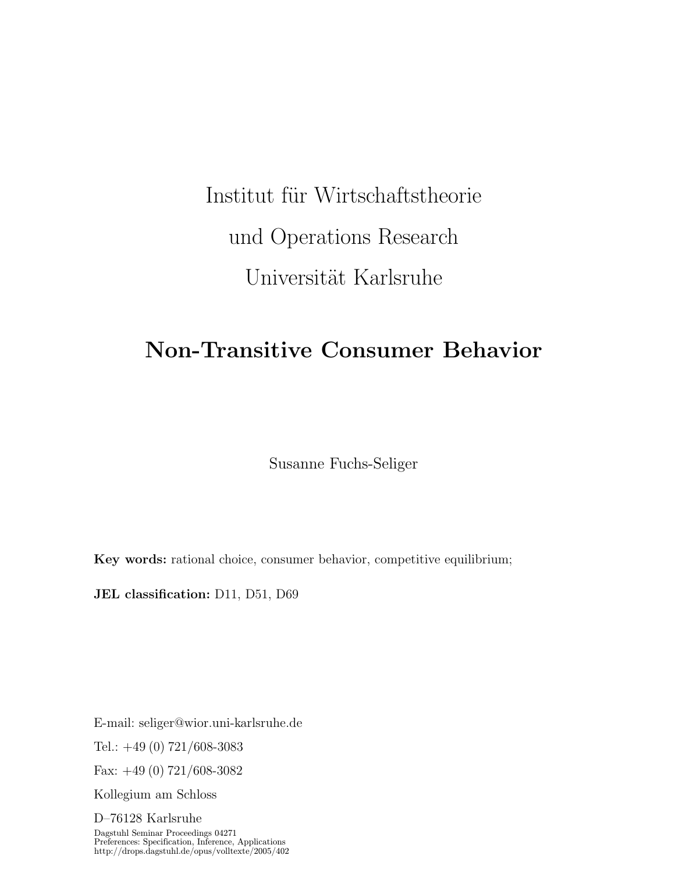# Institut für Wirtschaftstheorie und Operations Research Universität Karlsruhe

# Non-Transitive Consumer Behavior

Susanne Fuchs-Seliger

Key words: rational choice, consumer behavior, competitive equilibrium;

JEL classification: D11, D51, D69

E-mail: seliger@wior.uni-karlsruhe.de

Tel.:  $+49(0)$  721/608-3083

Fax:  $+49(0)$  721/608-3082

Kollegium am Schloss

D–76128 Karlsruhe Dagstuhl Seminar Proceedings 04271 Preferences: Specification, Inference, Applications http://drops.dagstuhl.de/opus/volltexte/2005/402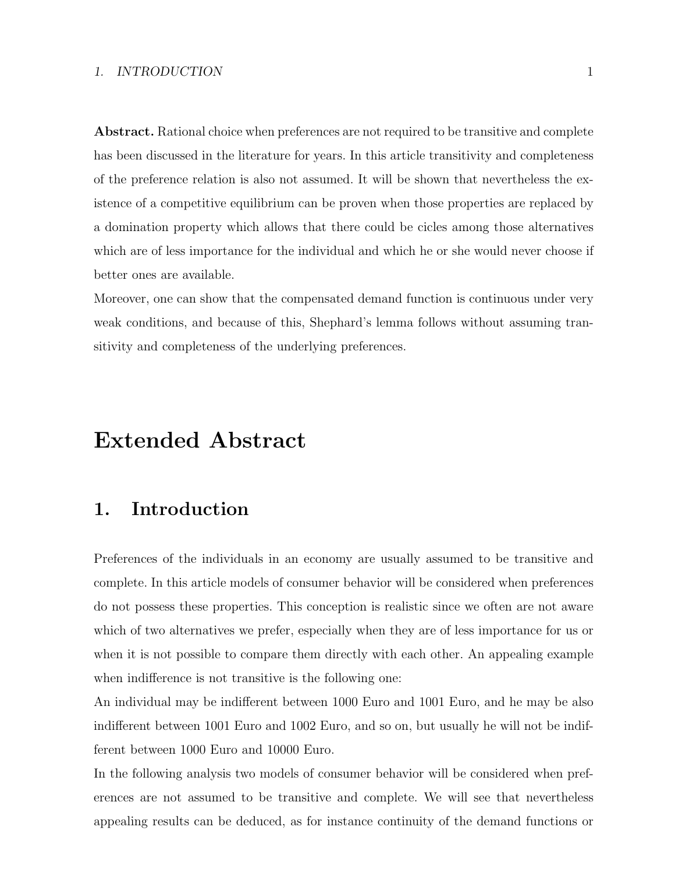#### 1. INTRODUCTION 1

Abstract. Rational choice when preferences are not required to be transitive and complete has been discussed in the literature for years. In this article transitivity and completeness of the preference relation is also not assumed. It will be shown that nevertheless the existence of a competitive equilibrium can be proven when those properties are replaced by a domination property which allows that there could be cicles among those alternatives which are of less importance for the individual and which he or she would never choose if better ones are available.

Moreover, one can show that the compensated demand function is continuous under very weak conditions, and because of this, Shephard's lemma follows without assuming transitivity and completeness of the underlying preferences.

# Extended Abstract

# 1. Introduction

Preferences of the individuals in an economy are usually assumed to be transitive and complete. In this article models of consumer behavior will be considered when preferences do not possess these properties. This conception is realistic since we often are not aware which of two alternatives we prefer, especially when they are of less importance for us or when it is not possible to compare them directly with each other. An appealing example when indifference is not transitive is the following one:

An individual may be indifferent between 1000 Euro and 1001 Euro, and he may be also indifferent between 1001 Euro and 1002 Euro, and so on, but usually he will not be indifferent between 1000 Euro and 10000 Euro.

In the following analysis two models of consumer behavior will be considered when preferences are not assumed to be transitive and complete. We will see that nevertheless appealing results can be deduced, as for instance continuity of the demand functions or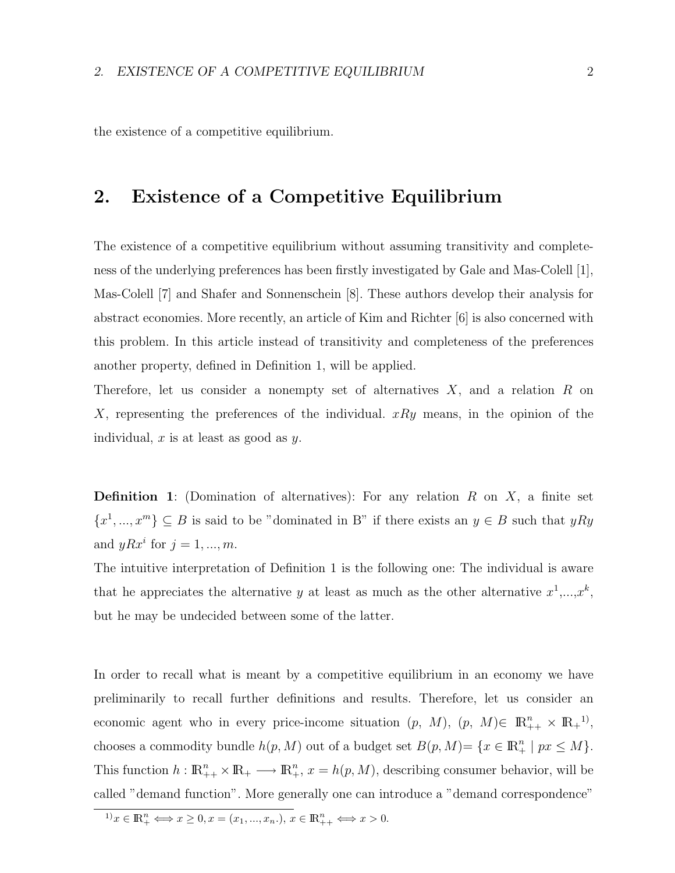the existence of a competitive equilibrium.

## 2. Existence of a Competitive Equilibrium

The existence of a competitive equilibrium without assuming transitivity and completeness of the underlying preferences has been firstly investigated by Gale and Mas-Colell [1], Mas-Colell [7] and Shafer and Sonnenschein [8]. These authors develop their analysis for abstract economies. More recently, an article of Kim and Richter [6] is also concerned with this problem. In this article instead of transitivity and completeness of the preferences another property, defined in Definition 1, will be applied.

Therefore, let us consider a nonempty set of alternatives  $X$ , and a relation  $R$  on X, representing the preferences of the individual.  $xRy$  means, in the opinion of the individual,  $x$  is at least as good as  $y$ .

**Definition 1**: (Domination of alternatives): For any relation  $R$  on  $X$ , a finite set  $\{x^1, ..., x^m\} \subseteq B$  is said to be "dominated in B" if there exists an  $y \in B$  such that  $yRy$ and  $yRx^i$  for  $j = 1, ..., m$ .

The intuitive interpretation of Definition 1 is the following one: The individual is aware that he appreciates the alternative y at least as much as the other alternative  $x^1,...,x^k$ , but he may be undecided between some of the latter.

In order to recall what is meant by a competitive equilibrium in an economy we have preliminarily to recall further definitions and results. Therefore, let us consider an economic agent who in every price-income situation  $(p, M), (p, M) \in \mathbb{R}_{++}^n \times \mathbb{R}_+^{1}$ , chooses a commodity bundle  $h(p, M)$  out of a budget set  $B(p, M) = \{x \in \mathbb{R}_+^n \mid px \leq M\}.$ This function  $h: \mathbb{R}_{++}^n \times \mathbb{R}_+ \longrightarrow \mathbb{R}_+^n$ ,  $x = h(p, M)$ , describing consumer behavior, will be called "demand function". More generally one can introduce a "demand correspondence"

 $x^{1)}x \in \mathbb{R}_{+}^{n} \Longleftrightarrow x \geq 0, x = (x_{1}, ..., x_{n}).$ ,  $x \in \mathbb{R}_{++}^{n} \Longleftrightarrow x > 0.$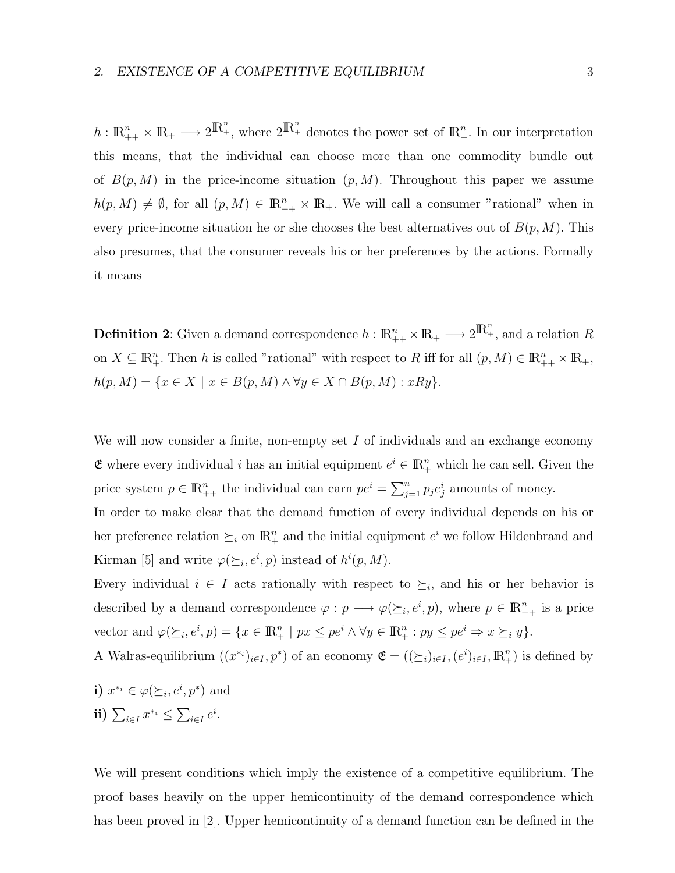$h: \mathbb{R}_{++}^n \times \mathbb{R}_+ \longrightarrow 2^{\mathbb{R}_{+}^n}$ , where  $2^{\mathbb{R}_{+}^n}$  denotes the power set of  $\mathbb{R}_{+}^n$ . In our interpretation this means, that the individual can choose more than one commodity bundle out of  $B(p, M)$  in the price-income situation  $(p, M)$ . Throughout this paper we assume  $h(p, M) \neq \emptyset$ , for all  $(p, M) \in \mathbb{R}_{++}^n \times \mathbb{R}_+$ . We will call a consumer "rational" when in every price-income situation he or she chooses the best alternatives out of  $B(p, M)$ . This also presumes, that the consumer reveals his or her preferences by the actions. Formally it means

**Definition 2**: Given a demand correspondence  $h: \mathbb{R}^n_{++} \times \mathbb{R}_+ \longrightarrow 2^{\mathbb{R}^n_+}$ , and a relation  $R$ on  $X \subseteq \mathbb{R}^n_+$ . Then h is called "rational" with respect to R iff for all  $(p, M) \in \mathbb{R}^n_{++} \times \mathbb{R}_+$ ,  $h(p, M) = \{x \in X \mid x \in B(p, M) \land \forall y \in X \cap B(p, M) : xRy\}.$ 

We will now consider a finite, non-empty set  $I$  of individuals and an exchange economy **€** where every individual *i* has an initial equipment  $e^i$  ∈  $\mathbb{R}^n_+$  which he can sell. Given the price system  $p \in \mathbb{R}_{++}^n$  the individual can earn  $pe^i = \sum_{j=1}^n p_j e^i_j$  amounts of money.

In order to make clear that the demand function of every individual depends on his or her preference relation  $\succeq_i$  on  $\mathbb{R}^n_+$  and the initial equipment  $e^i$  we follow Hildenbrand and Kirman [5] and write  $\varphi(\succeq_i, e^i, p)$  instead of  $h^i(p, M)$ .

Every individual  $i \in I$  acts rationally with respect to  $\succeq_i$ , and his or her behavior is described by a demand correspondence  $\varphi: p \longrightarrow \varphi(\succeq_i, e^i, p)$ , where  $p \in \mathbb{R}_{++}^n$  is a price vector and  $\varphi(\succeq_i, e^i, p) = \{x \in \mathbb{R}^n_+ \mid px \leq pe^i \land \forall y \in \mathbb{R}^n_+ : py \leq pe^i \Rightarrow x \succeq_i y\}.$ 

A Walras-equilibrium  $((x^{*i})_{i\in I}, p^*)$  of an economy  $\mathfrak{E} = ((\succeq_i)_{i\in I}, (e^i)_{i\in I}, \mathbb{R}^n_+)$  is defined by

\n- i) 
$$
x^{*_i} \in \varphi(\succeq_i, e^i, p^*)
$$
 and
\n- ii)  $\sum_{i \in I} x^{*_i} \leq \sum_{i \in I} e^i$ .
\n

We will present conditions which imply the existence of a competitive equilibrium. The proof bases heavily on the upper hemicontinuity of the demand correspondence which has been proved in [2]. Upper hemicontinuity of a demand function can be defined in the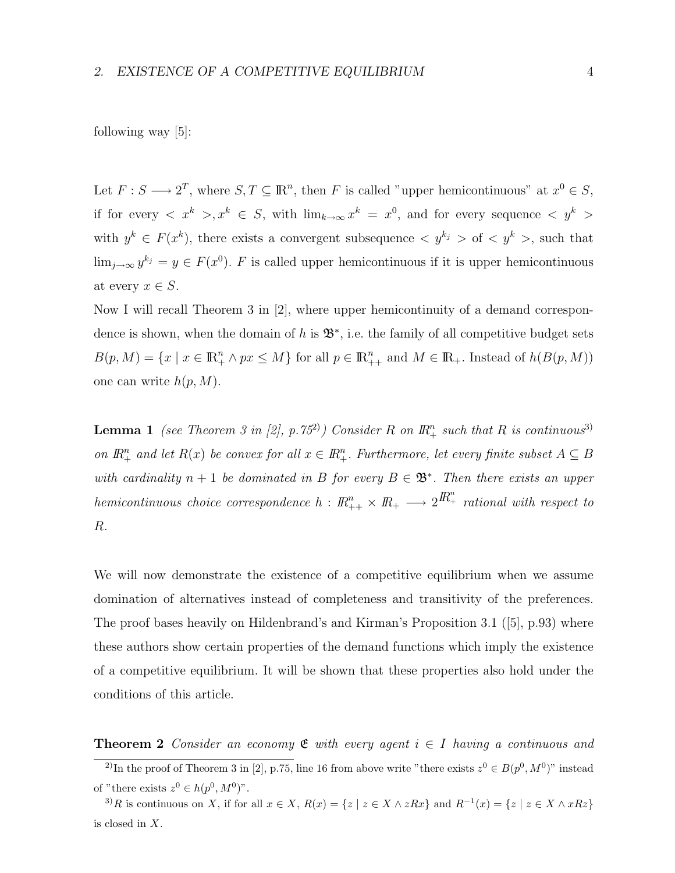Let  $F: S \longrightarrow 2^T$ , where  $S, T \subseteq \mathbb{R}^n$ , then F is called "upper hemicontinuous" at  $x^0 \in S$ , if for every  $\langle x^k \rangle, x^k \in S$ , with  $\lim_{k\to\infty} x^k = x^0$ , and for every sequence  $\langle y^k \rangle$ with  $y^k \in F(x^k)$ , there exists a convergent subsequence  $\langle y^{k_j} \rangle$  of  $\langle y^k \rangle$ , such that  $\lim_{j\to\infty} y^{k_j} = y \in F(x^0)$ . F is called upper hemicontinuous if it is upper hemicontinuous at every  $x \in S$ .

Now I will recall Theorem 3 in [2], where upper hemicontinuity of a demand correspondence is shown, when the domain of h is  $\mathfrak{B}^*$ , i.e. the family of all competitive budget sets  $B(p, M) = \{x \mid x \in \mathbb{R}_+^n \wedge px \leq M\}$  for all  $p \in \mathbb{R}_{++}^n$  and  $M \in \mathbb{R}_+$ . Instead of  $h(B(p, M))$ one can write  $h(p, M)$ .

**Lemma 1** (see Theorem 3 in [2], p.75<sup>2</sup>) Consider R on  $\mathbb{R}^n_+$  such that R is continuous<sup>3)</sup> on  $\mathbb{R}^n_+$  and let  $R(x)$  be convex for all  $x \in \mathbb{R}^n_+$ . Furthermore, let every finite subset  $A \subseteq B$ with cardinality  $n + 1$  be dominated in B for every  $B \in \mathfrak{B}^*$ . Then there exists an upper hemicontinuous choice correspondence  $h: I\!\!R^n_{++}\times I\!\!R_+\longrightarrow 2I\!\!R^n_+$  rational with respect to R.

We will now demonstrate the existence of a competitive equilibrium when we assume domination of alternatives instead of completeness and transitivity of the preferences. The proof bases heavily on Hildenbrand's and Kirman's Proposition 3.1 ([5], p.93) where these authors show certain properties of the demand functions which imply the existence of a competitive equilibrium. It will be shown that these properties also hold under the conditions of this article.

**Theorem 2** Consider an economy  $\mathfrak{E}$  with every agent  $i \in I$  having a continuous and

<sup>&</sup>lt;sup>2)</sup>In the proof of Theorem 3 in [2], p.75, line 16 from above write "there exists  $z^0 \in B(p^0, M^0)$ " instead of "there exists  $z^0 \in h(p^0, M^0)$ ".

<sup>&</sup>lt;sup>3)</sup>R is continuous on X, if for all  $x \in X$ ,  $R(x) = \{z \mid z \in X \land zRx\}$  and  $R^{-1}(x) = \{z \mid z \in X \land xRz\}$ is closed in X.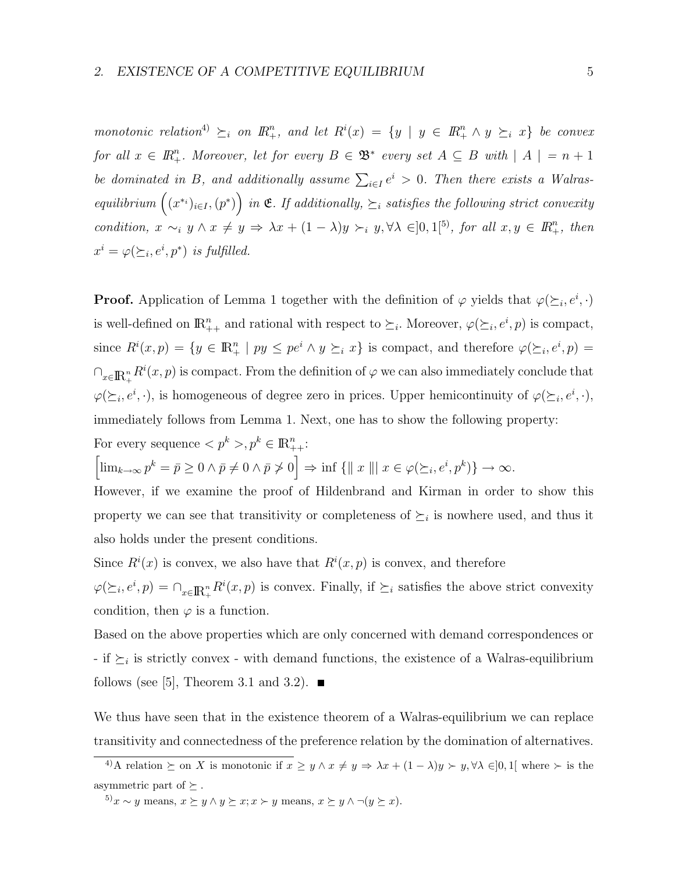monotonic relation<sup>4</sup>  $\succeq_i$  on  $\mathbb{R}^n_+$ , and let  $R^i(x) = \{y \mid y \in \mathbb{R}^n_+ \land y \succeq_i x\}$  be convex for all  $x \in \mathbb{R}^n_+$ . Moreover, let for every  $B \in \mathfrak{B}^*$  every set  $A \subseteq B$  with  $|A| = n + 1$ be dominated in B, and additionally assume  $\sum_{i\in I} e^i > 0$ . Then there exists a Walrasequilibrium  $((x^{*_i})_{i\in I}, (p^*))$  in  $\mathfrak{E}$ . If additionally,  $\succeq_i$  satisfies the following strict convexity condition,  $x \sim_i y \land x \neq y \Rightarrow \lambda x + (1 - \lambda)y \succ_i y, \forall \lambda \in ]0,1[^5]$ , for all  $x, y \in \mathbb{R}_+^n$ , then  $x^i = \varphi(\succeq_i, e^i, p^*)$  is fulfilled.

**Proof.** Application of Lemma 1 together with the definition of  $\varphi$  yields that  $\varphi(\succeq_i, e^i, \cdot)$ is well-defined on  $\mathbb{R}_{++}^n$  and rational with respect to  $\succeq_i$ . Moreover,  $\varphi(\succeq_i, e^i, p)$  is compact, since  $R^i(x,p) = \{y \in \mathbb{R}^n_+ \mid py \le pe^i \land y \succeq_i x\}$  is compact, and therefore  $\varphi(\succeq_i,e^i,p) =$  $\bigcap_{x\in{\rm I\!R}_+^n} R^i(x,p)$  is compact. From the definition of  $\varphi$  we can also immediately conclude that  $\varphi(\succeq_i, e^i, \cdot)$ , is homogeneous of degree zero in prices. Upper hemicontinuity of  $\varphi(\succeq_i, e^i, \cdot)$ , immediately follows from Lemma 1. Next, one has to show the following property:

For every sequence  $\langle p^k \rangle, p^k \in \mathbb{R}_{++}^n$ :

$$
\left[\lim_{k\to\infty}p^k=\bar{p}\geq 0 \land \bar{p}\neq 0 \land \bar{p}\neq 0\right]\Rightarrow \inf\left\{\parallel x\parallel\right|x\in\varphi(\succeq_i,e^i,p^k)\right\}\to\infty.
$$

However, if we examine the proof of Hildenbrand and Kirman in order to show this property we can see that transitivity or completeness of  $\succeq_i$  is nowhere used, and thus it also holds under the present conditions.

Since  $R^i(x)$  is convex, we also have that  $R^i(x, p)$  is convex, and therefore

 $\varphi(\succeq_i, e^i, p) = \bigcap_{x \in \mathbb{R}^n_+} R^i(x, p)$  is convex. Finally, if  $\succeq_i$  satisfies the above strict convexity condition, then  $\varphi$  is a function.

Based on the above properties which are only concerned with demand correspondences or - if  $\succeq_i$  is strictly convex - with demand functions, the existence of a Walras-equilibrium follows (see [5], Theorem 3.1 and 3.2).  $\blacksquare$ 

We thus have seen that in the existence theorem of a Walras-equilibrium we can replace transitivity and connectedness of the preference relation by the domination of alternatives.

<sup>4)</sup>A relation  $\succeq$  on X is monotonic if  $x \geq y \land x \neq y \Rightarrow \lambda x + (1 - \lambda)y \succ y, \forall \lambda \in ]0,1[$  where  $\succ$  is the asymmetric part of  $\succeq$  .

<sup>5)</sup> $x \sim y$  means,  $x \succeq y \land y \succeq x; x \succ y$  means,  $x \succeq y \land \neg(y \succeq x)$ .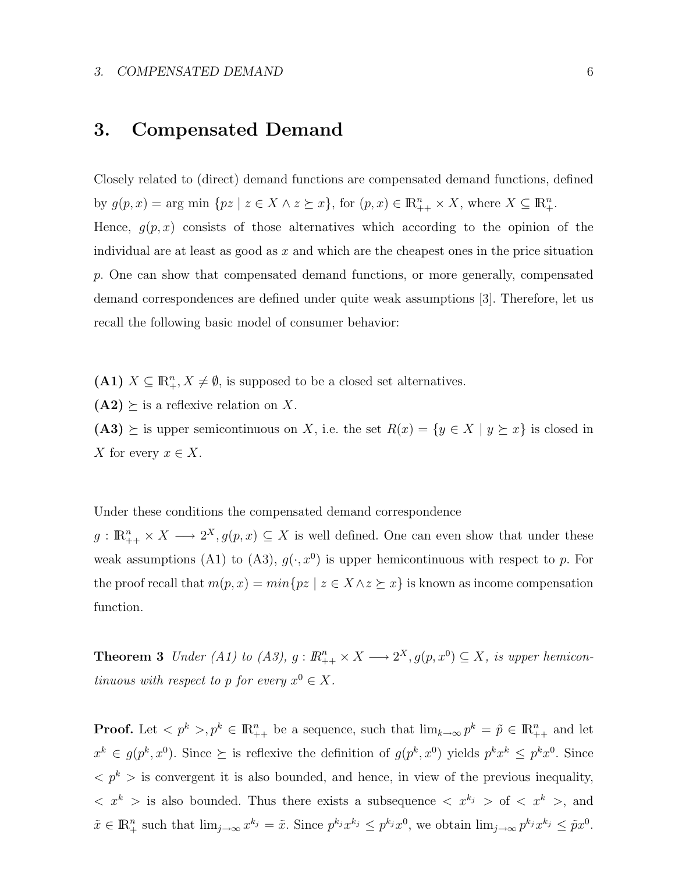#### 3. COMPENSATED DEMAND 6

## 3. Compensated Demand

Closely related to (direct) demand functions are compensated demand functions, defined by  $g(p, x) = \arg \min \{ pz \mid z \in X \land z \succeq x \}, \text{ for } (p, x) \in \mathbb{R}^n_{++} \times X, \text{ where } X \subseteq \mathbb{R}^n_+$ . Hence,  $g(p, x)$  consists of those alternatives which according to the opinion of the individual are at least as good as  $x$  and which are the cheapest ones in the price situation p. One can show that compensated demand functions, or more generally, compensated demand correspondences are defined under quite weak assumptions [3]. Therefore, let us recall the following basic model of consumer behavior:

(A1)  $X \subseteq \mathbb{R}^n_+$ ,  $X \neq \emptyset$ , is supposed to be a closed set alternatives.

 $(A2) \succeq$  is a reflexive relation on X.

(A3)  $\succeq$  is upper semicontinuous on X, i.e. the set  $R(x) = \{y \in X \mid y \succeq x\}$  is closed in X for every  $x \in X$ .

Under these conditions the compensated demand correspondence

 $g: \mathbb{R}_{++}^n \times X \longrightarrow 2^X, g(p,x) \subseteq X$  is well defined. One can even show that under these weak assumptions (A1) to (A3),  $g(\cdot, x^0)$  is upper hemicontinuous with respect to p. For the proof recall that  $m(p, x) = min\{pz \mid z \in X \land z \succeq x\}$  is known as income compensation function.

**Theorem 3** Under (A1) to (A3),  $g: \mathbb{R}^n_{++} \times X \longrightarrow 2^X, g(p, x^0) \subseteq X$ , is upper hemicontinuous with respect to p for every  $x^0 \in X$ .

**Proof.** Let  $\langle p^k \rangle, p^k \in \mathbb{R}_{++}^n$  be a sequence, such that  $\lim_{k\to\infty} p^k = \tilde{p} \in \mathbb{R}_{++}^n$  and let  $x^k \in g(p^k, x^0)$ . Since  $\succeq$  is reflexive the definition of  $g(p^k, x^0)$  yields  $p^k x^k \leq p^k x^0$ . Since  $p^k >$  is convergent it is also bounded, and hence, in view of the previous inequality,  $\langle x^k \rangle$  is also bounded. Thus there exists a subsequence  $\langle x^{k_j} \rangle$  of  $\langle x^k \rangle$ , and  $\tilde{x} \in \mathbb{R}^n_+$  such that  $\lim_{j\to\infty} x^{k_j} = \tilde{x}$ . Since  $p^{k_j}x^{k_j} \leq p^{k_j}x^0$ , we obtain  $\lim_{j\to\infty} p^{k_j}x^{k_j} \leq \tilde{p}x^0$ .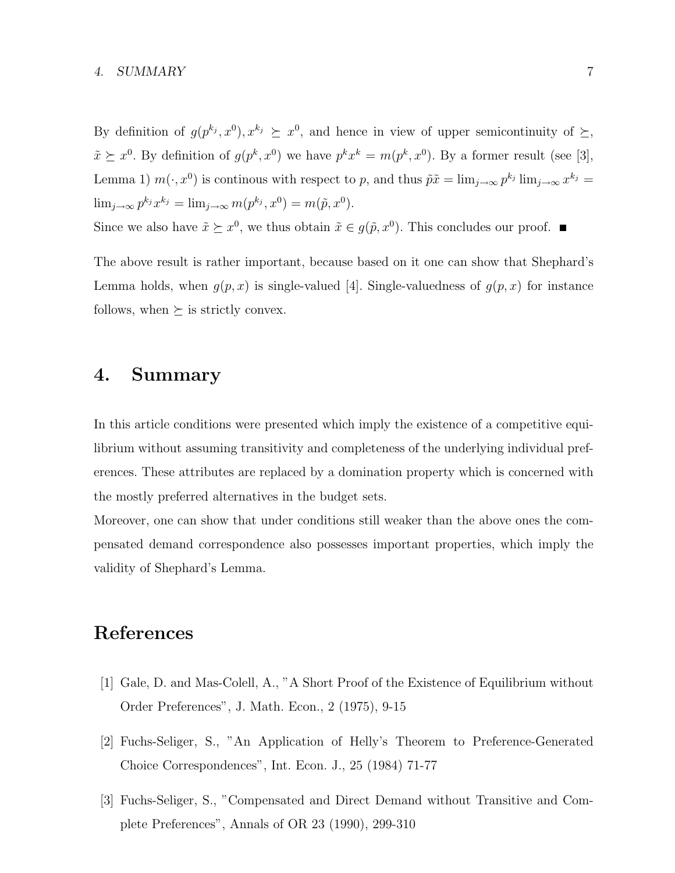#### 4. SUMMARY 7

By definition of  $g(p^{k_j}, x^{0}), x^{k_j} \geq x^{0}$ , and hence in view of upper semicontinuity of  $\succeq$ ,  $\tilde{x} \succeq x^0$ . By definition of  $g(p^k, x^0)$  we have  $p^k x^k = m(p^k, x^0)$ . By a former result (see [3], Lemma 1)  $m(\cdot, x^0)$  is continous with respect to p, and thus  $\tilde{p}\tilde{x} = \lim_{j\to\infty} p^{k_j} \lim_{j\to\infty} x^{k_j} =$  $\lim_{j\to\infty} p^{k_j} x^{k_j} = \lim_{j\to\infty} m(p^{k_j}, x^0) = m(\tilde{p}, x^0).$ 

Since we also have  $\tilde{x} \succeq x^0$ , we thus obtain  $\tilde{x} \in g(\tilde{p}, x^0)$ . This concludes our proof.

The above result is rather important, because based on it one can show that Shephard's Lemma holds, when  $g(p, x)$  is single-valued [4]. Single-valuedness of  $g(p, x)$  for instance follows, when  $\succeq$  is strictly convex.

### 4. Summary

In this article conditions were presented which imply the existence of a competitive equilibrium without assuming transitivity and completeness of the underlying individual preferences. These attributes are replaced by a domination property which is concerned with the mostly preferred alternatives in the budget sets.

Moreover, one can show that under conditions still weaker than the above ones the compensated demand correspondence also possesses important properties, which imply the validity of Shephard's Lemma.

# References

- [1] Gale, D. and Mas-Colell, A., "A Short Proof of the Existence of Equilibrium without Order Preferences", J. Math. Econ., 2 (1975), 9-15
- [2] Fuchs-Seliger, S., "An Application of Helly's Theorem to Preference-Generated Choice Correspondences", Int. Econ. J., 25 (1984) 71-77
- [3] Fuchs-Seliger, S., "Compensated and Direct Demand without Transitive and Complete Preferences", Annals of OR 23 (1990), 299-310